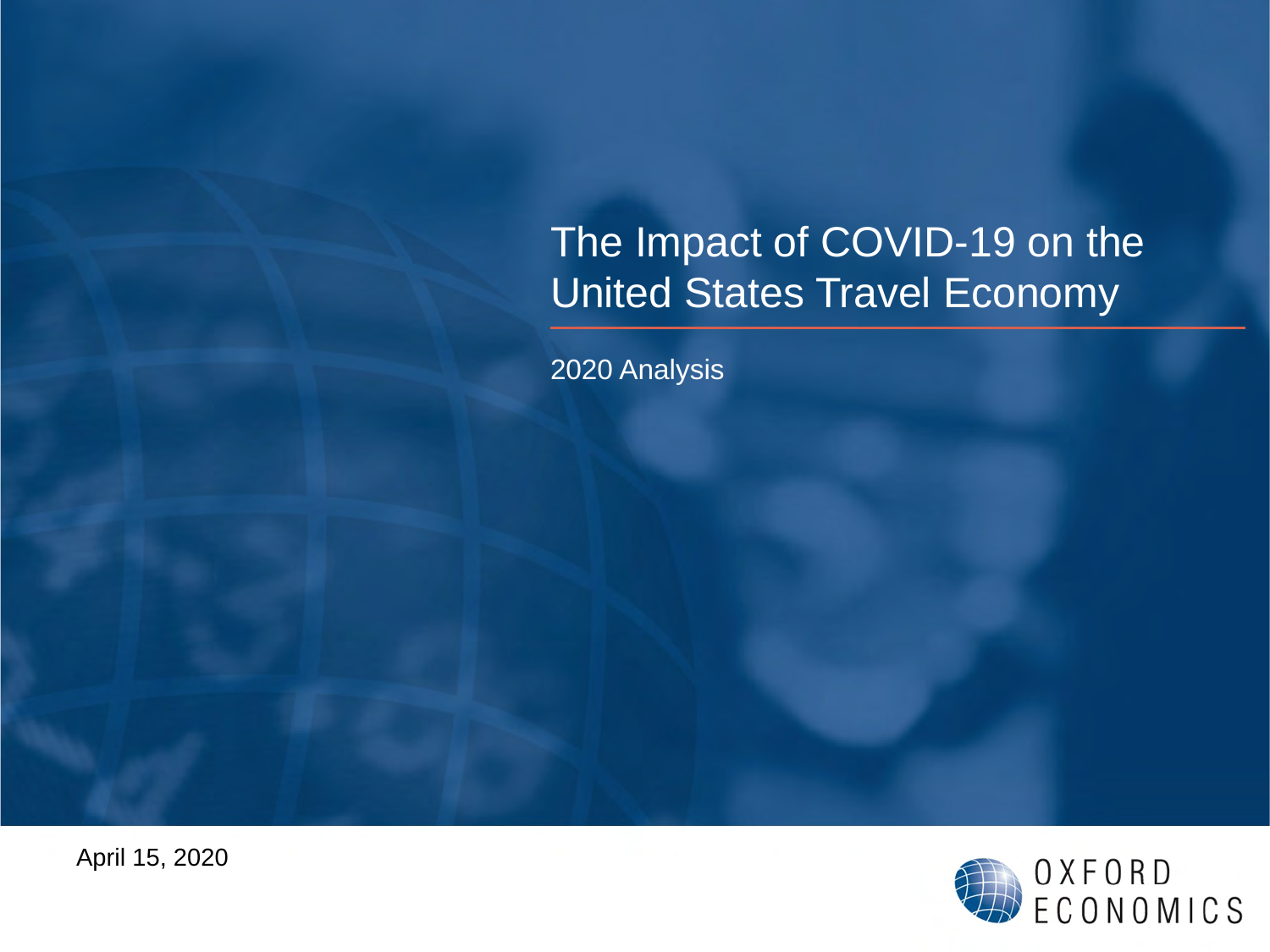# The Impact of COVID-19 on the United States Travel Economy

2020 Analysis

April 15, 2020

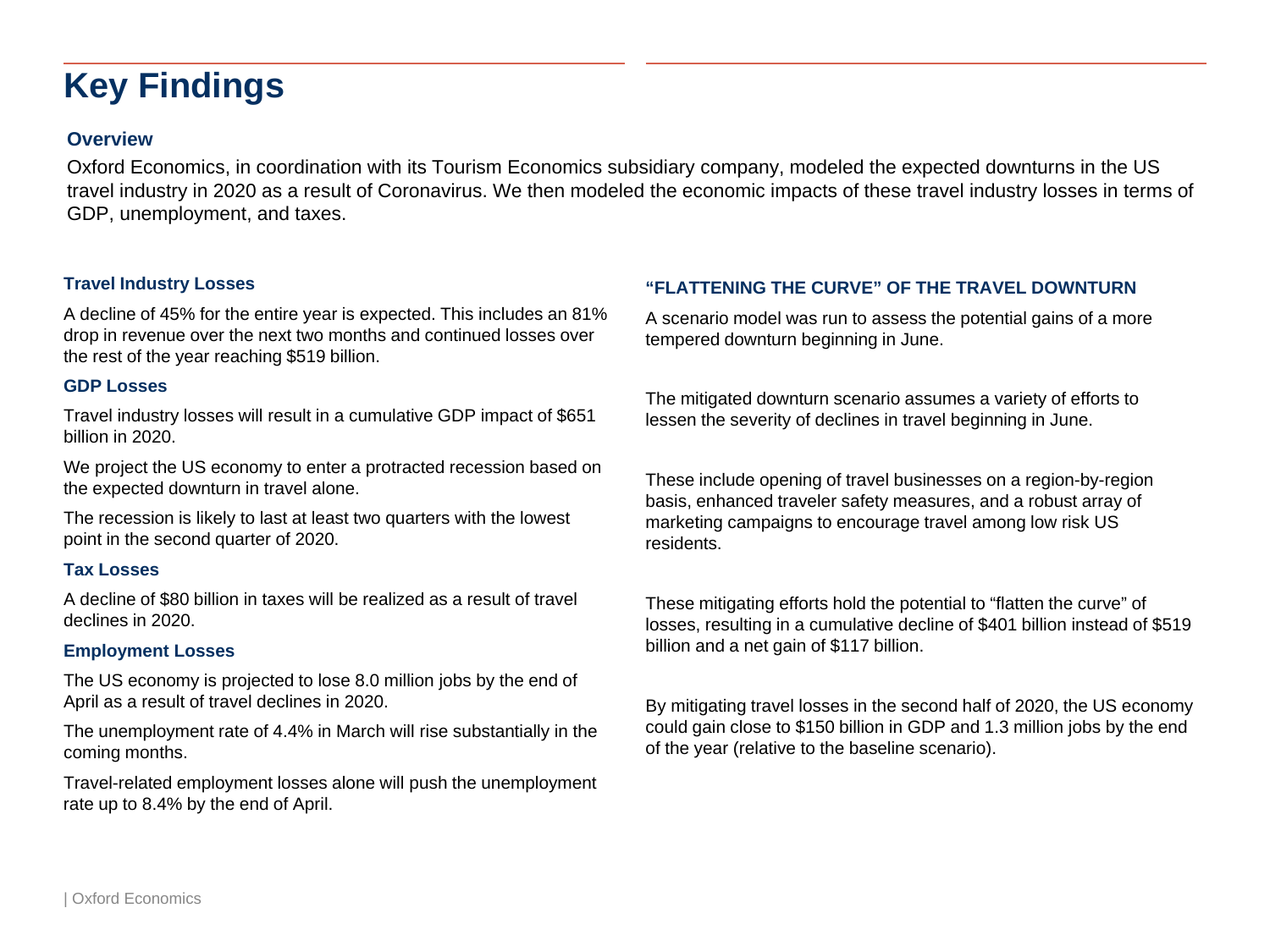# **Key Findings**

### **Overview**

Oxford Economics, in coordination with its Tourism Economics subsidiary company, modeled the expected downturns in the US travel industry in 2020 as a result of Coronavirus. We then modeled the economic impacts of these travel industry losses in terms of GDP, unemployment, and taxes.

#### **Travel Industry Losses**

A decline of 45% for the entire year is expected. This includes an 81% drop in revenue over the next two months and continued losses over the rest of the year reaching \$519 billion.

#### **GDP Losses**

Travel industry losses will result in a cumulative GDP impact of \$651 billion in 2020.

We project the US economy to enter a protracted recession based on the expected downturn in travel alone.

The recession is likely to last at least two quarters with the lowest point in the second quarter of 2020.

#### **Tax Losses**

A decline of \$80 billion in taxes will be realized as a result of travel declines in 2020.

#### **Employment Losses**

The US economy is projected to lose 8.0 million jobs by the end of April as a result of travel declines in 2020.

The unemployment rate of 4.4% in March will rise substantially in the coming months.

Travel-related employment losses alone will push the unemployment rate up to 8.4% by the end of April.

### **"FLATTENING THE CURVE" OF THE TRAVEL DOWNTURN**

A scenario model was run to assess the potential gains of a more tempered downturn beginning in June.

The mitigated downturn scenario assumes a variety of efforts to lessen the severity of declines in travel beginning in June.

These include opening of travel businesses on a region-by-region basis, enhanced traveler safety measures, and a robust array of marketing campaigns to encourage travel among low risk US residents.

These mitigating efforts hold the potential to "flatten the curve" of losses, resulting in a cumulative decline of \$401 billion instead of \$519 billion and a net gain of \$117 billion.

By mitigating travel losses in the second half of 2020, the US economy could gain close to \$150 billion in GDP and 1.3 million jobs by the end of the year (relative to the baseline scenario).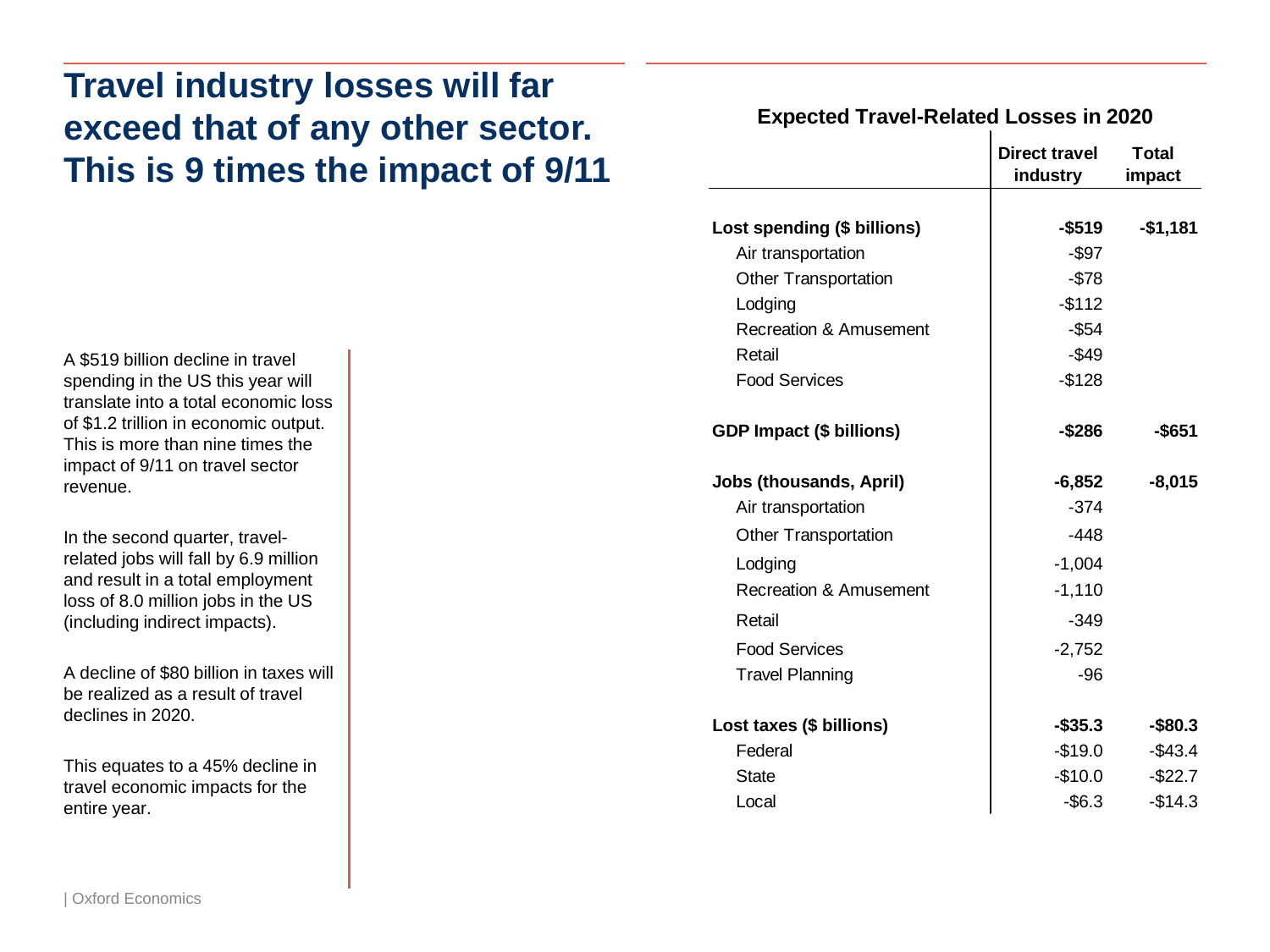# **Travel industry losses will far exceed that of any other sector. This is 9 times the impact of 9/11**

A \$519 billion decline in travel spending in the US this year will translate into a total economic loss of \$1.2 trillion in economic output. This is more than nine times the impact of 9/11 on travel sector revenue.

In the second quarter, travelrelated jobs will fall by 6.9 million and result in a total employment loss of 8.0 million jobs in the US (including indirect impacts).

A decline of \$80 billion in taxes will be realized as a result of travel declines in 2020.

This equates to a 45% decline in travel economic impacts for the entire year.

### **Expected Travel-Related Losses in 2020**

|                                   | Direct travel<br>industry | Total<br>impact |
|-----------------------------------|---------------------------|-----------------|
|                                   |                           |                 |
| Lost spending (\$ billions)       | $-$ \$519                 | $-$1,181$       |
| Air transportation                | -\$97                     |                 |
| <b>Other Transportation</b>       | $-$78$                    |                 |
| Lodging                           | $-$112$                   |                 |
| <b>Recreation &amp; Amusement</b> | $-$ \$54                  |                 |
| Retail                            | $-$ \$49                  |                 |
| <b>Food Services</b>              | $-$128$                   |                 |
| <b>GDP Impact (\$ billions)</b>   | -\$286                    | -\$651          |
| <b>Jobs (thousands, April)</b>    | $-6,852$                  | $-8,015$        |
| Air transportation                | $-374$                    |                 |
| <b>Other Transportation</b>       | $-448$                    |                 |
| Lodging                           | $-1,004$                  |                 |
| <b>Recreation &amp; Amusement</b> | $-1,110$                  |                 |
| Retail                            | $-349$                    |                 |
| <b>Food Services</b>              | $-2,752$                  |                 |
| <b>Travel Planning</b>            | $-96$                     |                 |
| Lost taxes (\$ billions)          | -\$35.3                   | $-$ \$80.3      |
| Federal                           | $-$19.0$                  | $-$43.4$        |
| State                             | -\$10.0                   | $-$ \$22.7      |
| Local                             | $-$ \$6.3                 | $-$14.3$        |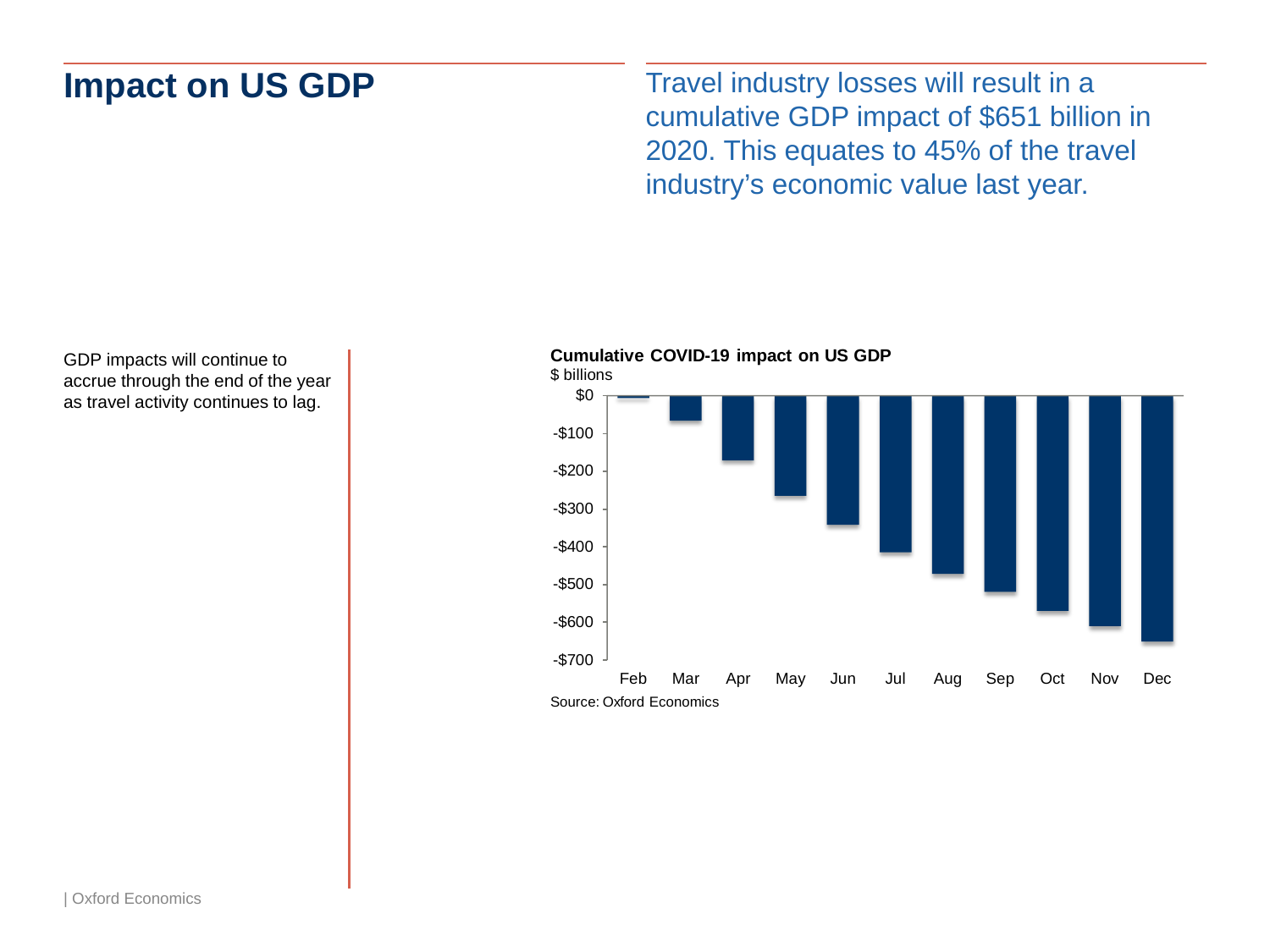# **Impact on US GDP**

Travel industry losses will result in a cumulative GDP impact of \$651 billion in 2020. This equates to 45% of the travel industry's economic value last year.

GDP impacts will continue to **billions continue to the continue of the vear** accrue through the end of the year **and the set of the set of the set of the set of the set of the set of the set of the set of the set of the se** as travel activity continues to lag.



**Cumulative COVID-19 impact on US GDP**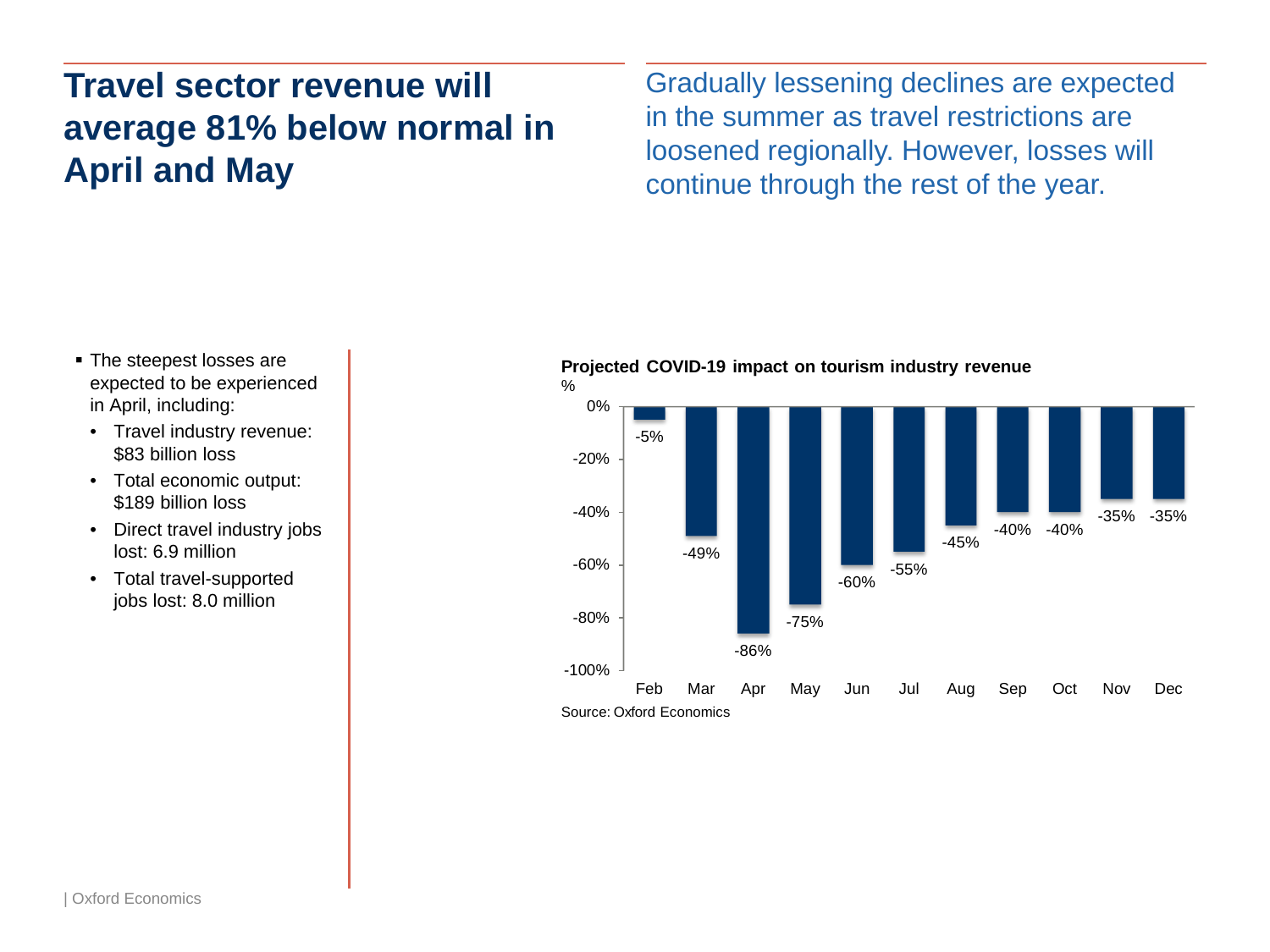# **Travel sector revenue will average 81% below normal in April and May**

Gradually lessening declines are expected in the summer as travel restrictions are loosened regionally. However, losses will continue through the rest of the year.

- The steepest losses are expected to be experienced in April, including:
	- Travel industry revenue: \$83 billion loss
- Total economic output: \$189 billion loss
- Direct travel industry jobs lost: 6.9 million
- Total travel-supported jobs lost: 8.0 million

**Projected COVID-19 impact on tourism industry revenue**

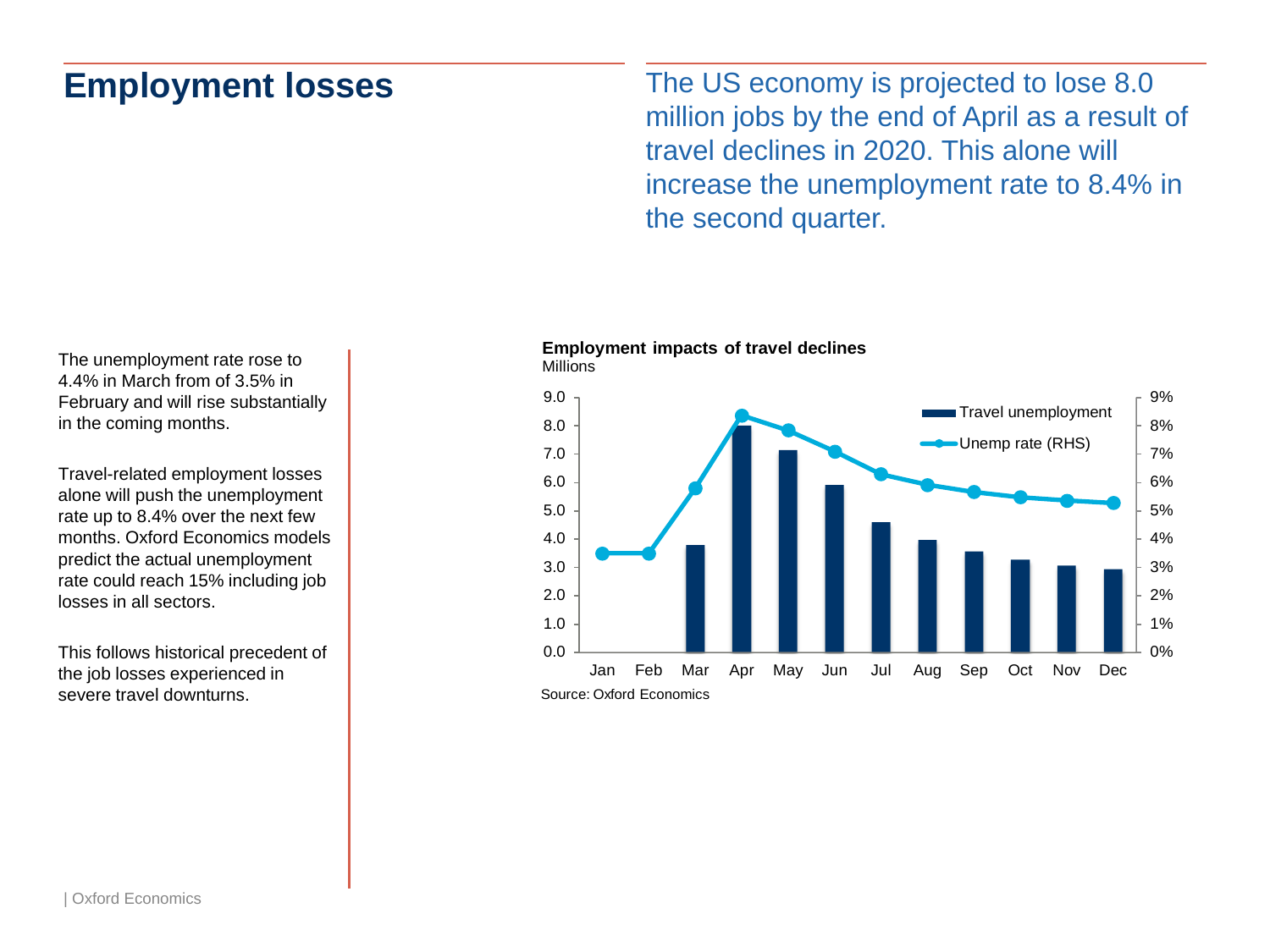### **Employment losses**

The US economy is projected to lose 8.0 million jobs by the end of April as a result of travel declines in 2020. This alone will increase the unemployment rate to 8.4% in the second quarter.

**Employment impacts of travel declines**



The unemployment rate rose to 4.4% in March from of 3.5% in February and will rise substantially in the coming months.

Travel-related employment losses alone will push the unemployment rate up to 8.4% over the next few months. Oxford Economics models predict the actual unemployment rate could reach 15% including job losses in all sectors.

This follows historical precedent of the job losses experienced in severe travel downturns.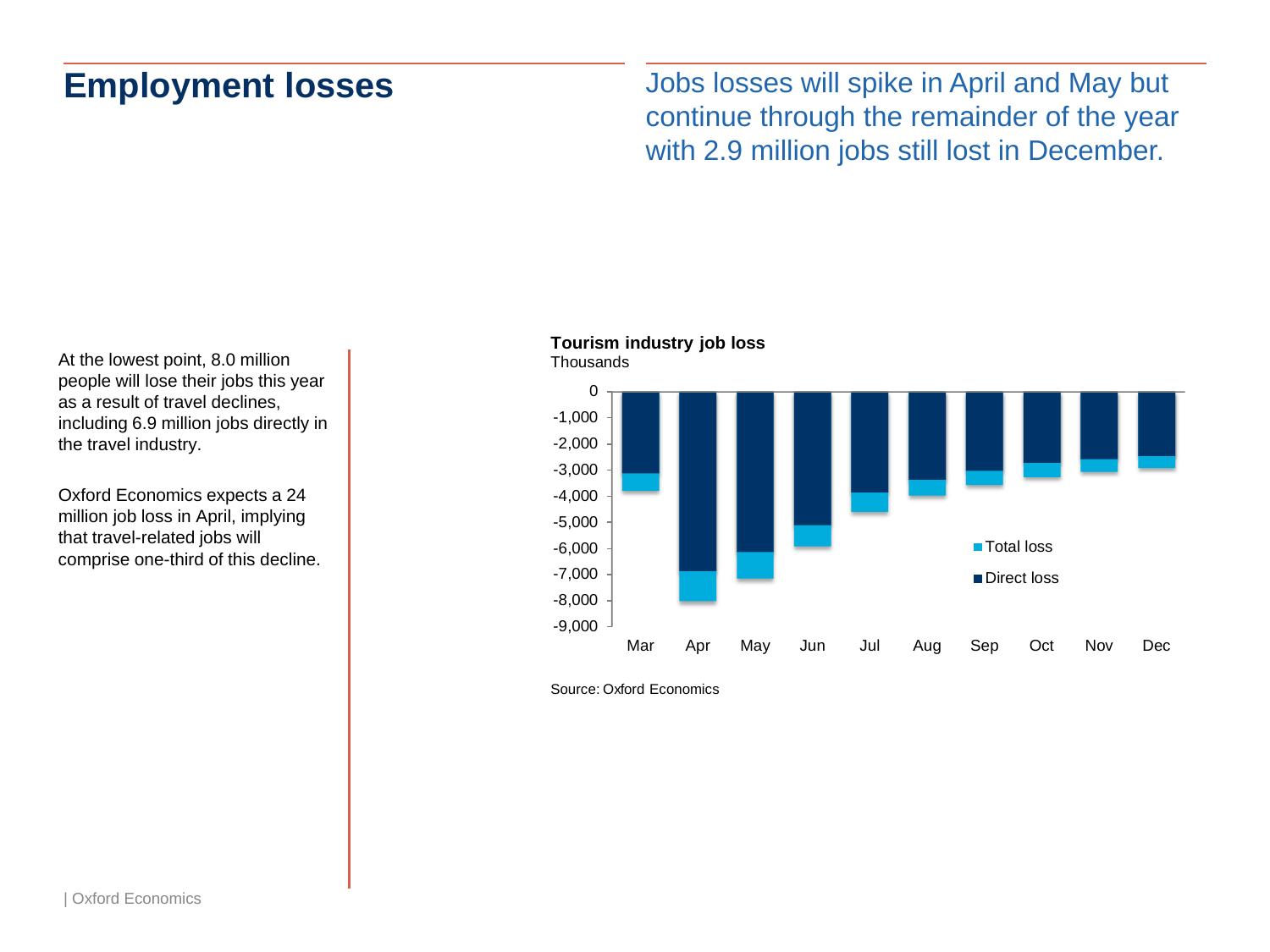### **Employment losses**

Jobs losses will spike in April and May but continue through the remainder of the year with 2.9 million jobs still lost in December.

At the lowest point, 8.0 million people will lose their jobs this year as a result of travel declines, including 6.9 million jobs directly in the travel industry.

Oxford Economics expects a 24 million job loss in April, implying that travel-related jobs will comprise one-third of this decline.

### **Tourism industry job loss**



Source: Oxford Economics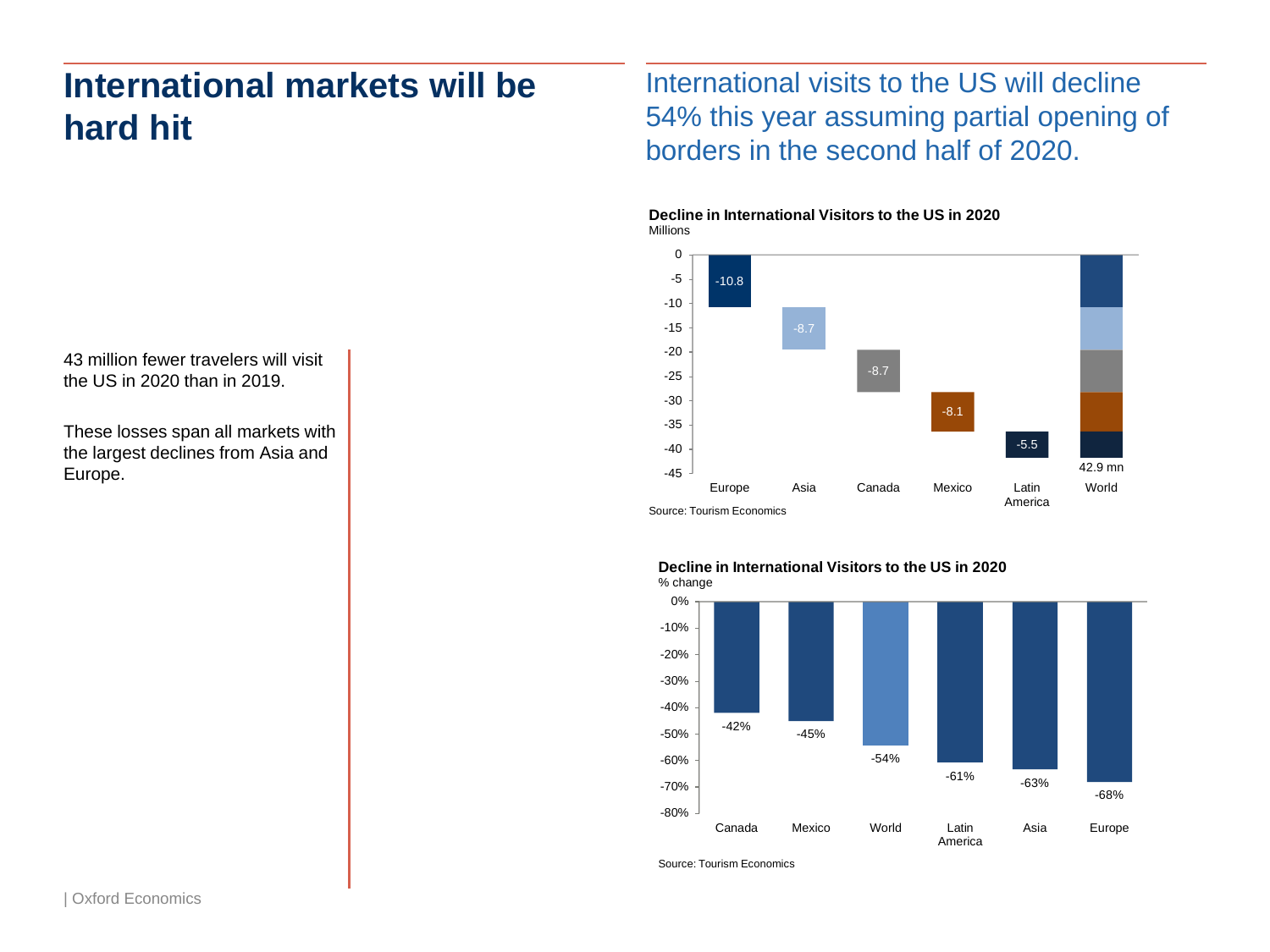# **International markets will be hard hit**

43 million fewer travelers will visit the US in 2020 than in 2019.

These losses span all markets with the largest declines from Asia and Europe.

International visits to the US will decline 54% this year assuming partial opening of borders in the second half of 2020.





**Decline in International Visitors to the US in 2020**



Source: Tourism Economics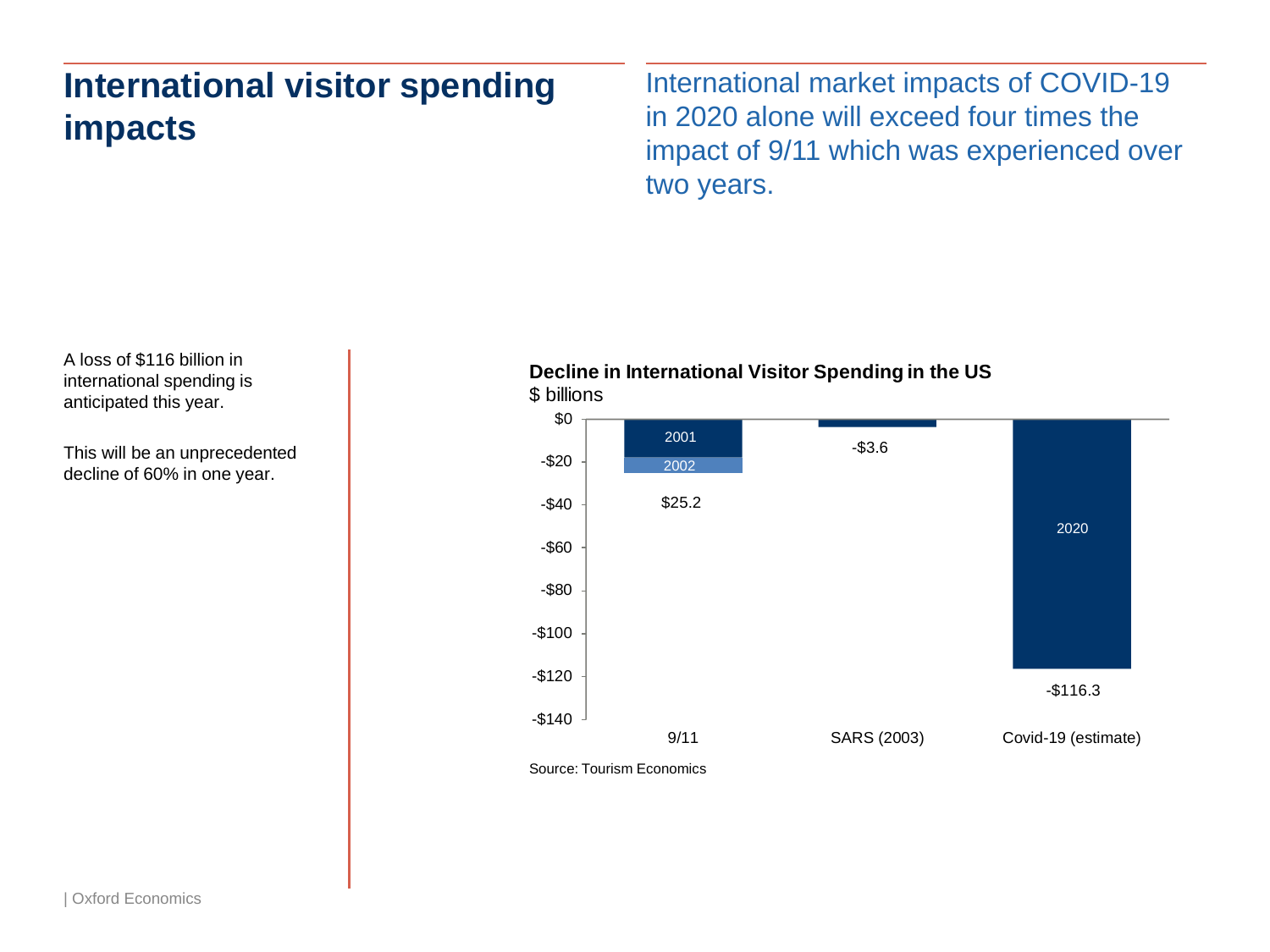# **International visitor spending impacts**

International market impacts of COVID-19 in 2020 alone will exceed four times the impact of 9/11 which was experienced over two years.

A loss of \$116 billion in international spending is anticipated this year.

This will be an unprecedented decline of 60% in one year.

### **Decline in International Visitor Spending in the US** \$ billions



Source: Tourism Economics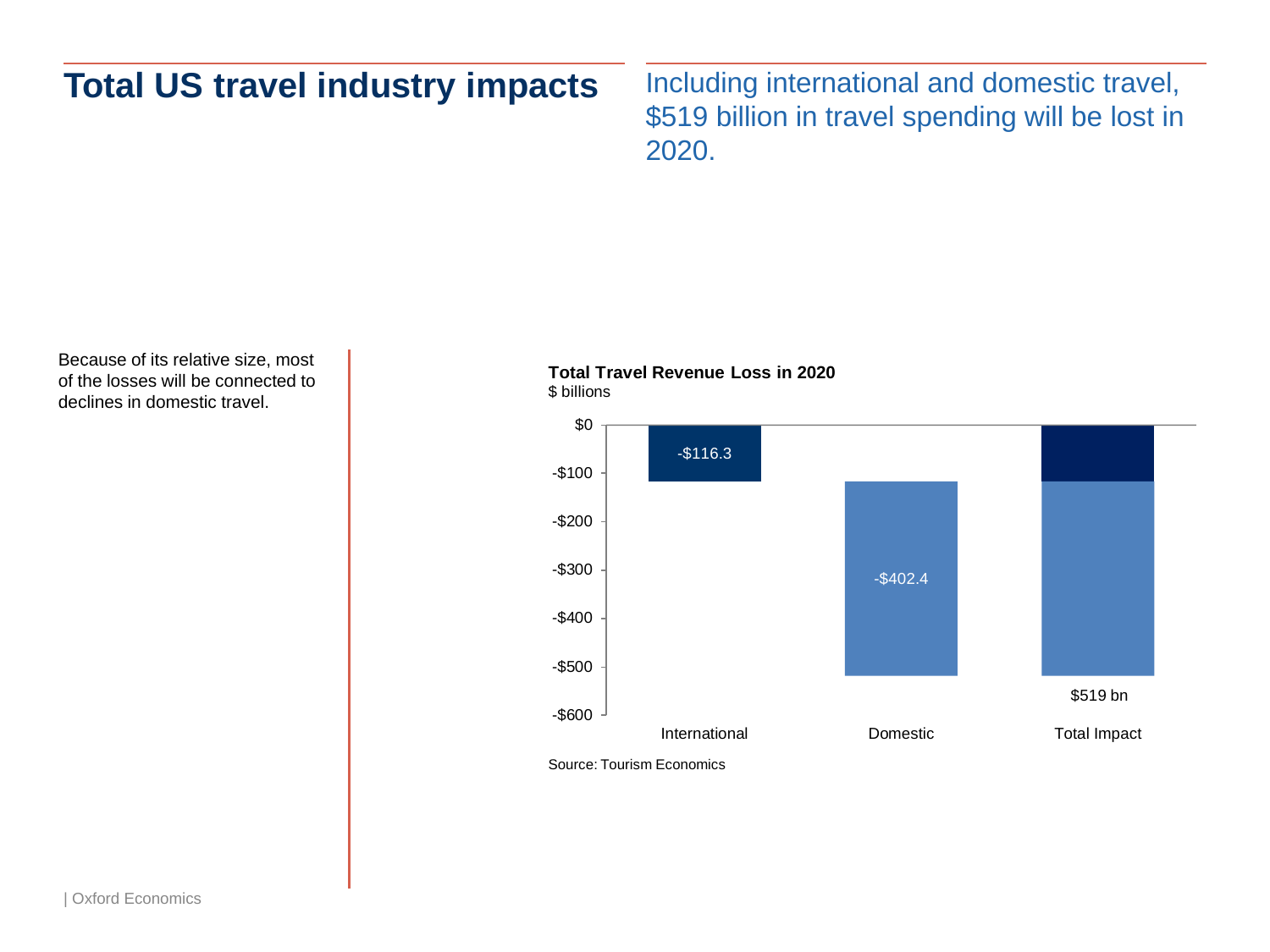# **Total US travel industry impacts**

Including international and domestic travel, \$519 billion in travel spending will be lost in 2020.

Because of its relative size, most of the losses will be connected to declines in domestic travel.





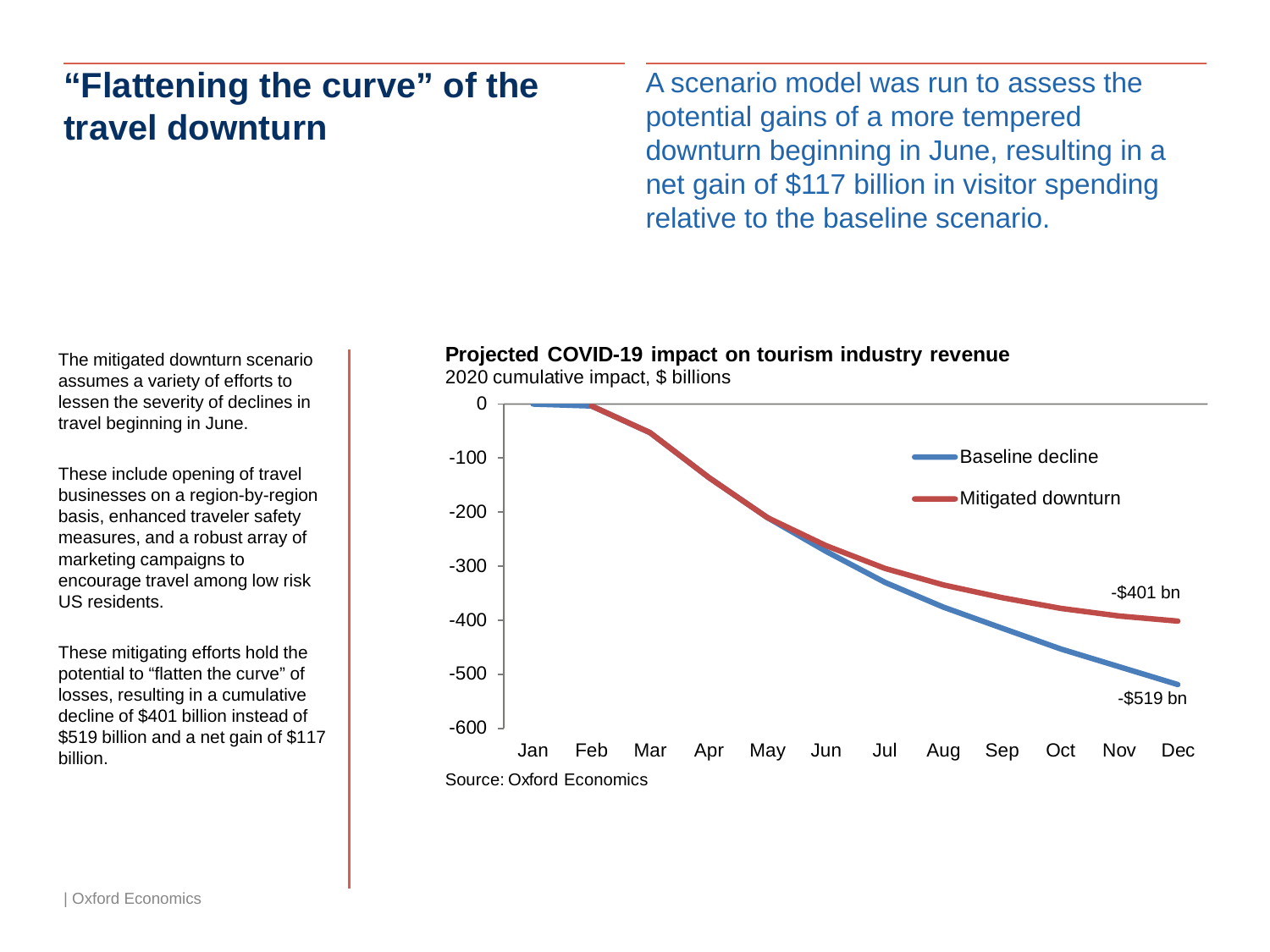# **"Flattening the curve" of the travel downturn**

A scenario model was run to assess the potential gains of a more tempered downturn beginning in June, resulting in a net gain of \$117 billion in visitor spending relative to the baseline scenario.

The mitigated downturn scenario assumes a variety of efforts to lessen the severity of declines in travel beginning in June.

These include opening of travel businesses on a region-by-region basis, enhanced traveler safety measures, and a robust array of marketing campaigns to encourage travel among low risk US residents.

These mitigating efforts hold the potential to "flatten the curve" of losses, resulting in a cumulative decline of \$401 billion instead of \$519 billion and a net gain of \$117



2020 cumulative impact, \$ billions

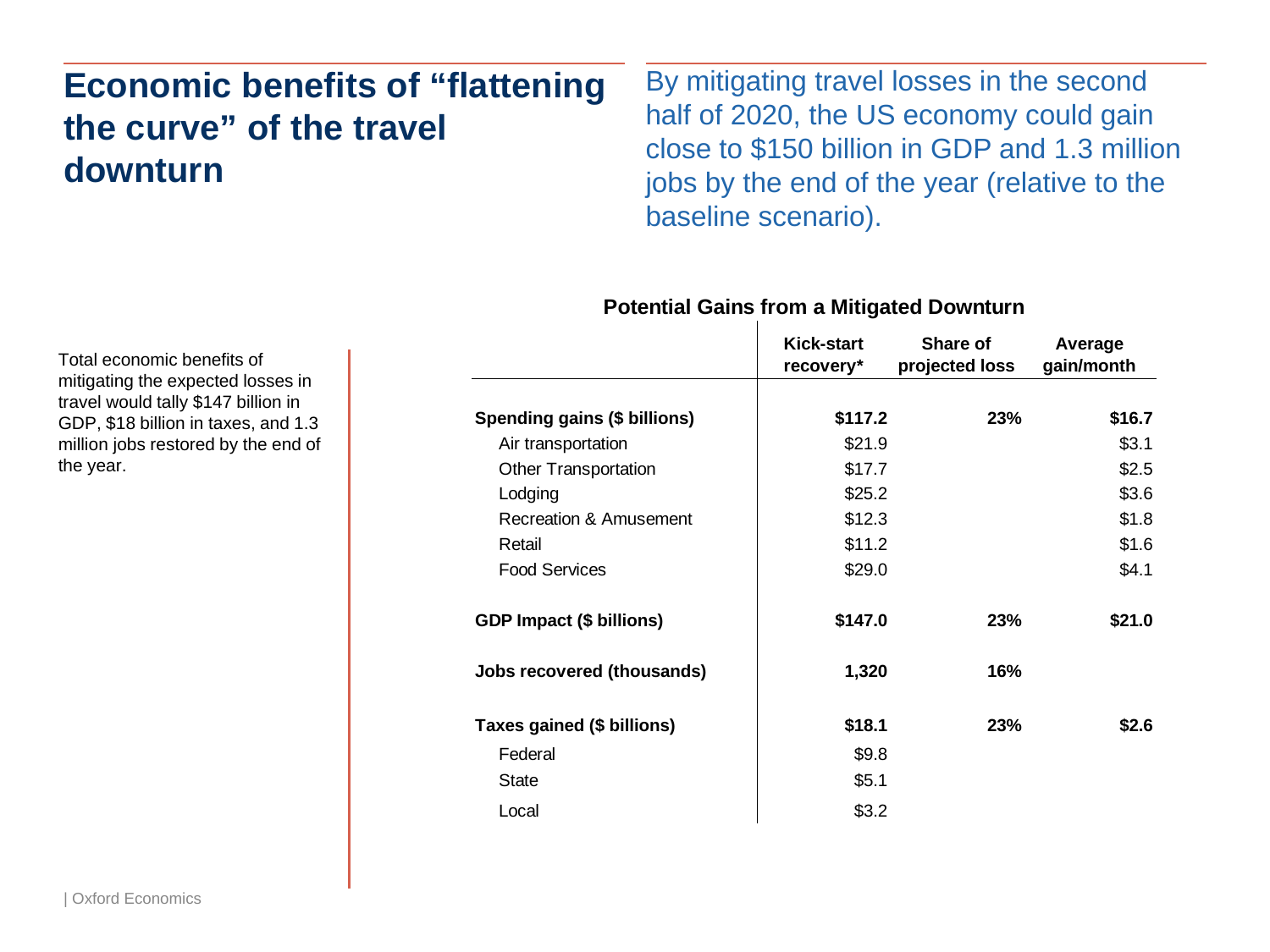# **Economic benefits of "flattening the curve" of the travel downturn**

By mitigating travel losses in the second half of 2020, the US economy could gain close to \$150 billion in GDP and 1.3 million jobs by the end of the year (relative to the baseline scenario).

|                                 | <b>Kick-start</b><br>recovery* | Share of<br>projected loss | Average<br>gain/month |
|---------------------------------|--------------------------------|----------------------------|-----------------------|
| Spending gains (\$ billions)    | \$117.2                        | 23%                        | \$16.7                |
| Air transportation              | \$21.9                         |                            | \$3.1                 |
| <b>Other Transportation</b>     | \$17.7                         |                            | \$2.5                 |
| Lodging                         | \$25.2                         |                            | \$3.6                 |
| Recreation & Amusement          | \$12.3                         |                            | \$1.8                 |
| Retail                          | \$11.2                         |                            | \$1.6                 |
| <b>Food Services</b>            | \$29.0                         |                            | \$4.1                 |
| <b>GDP Impact (\$ billions)</b> | \$147.0                        | 23%                        | \$21.0                |
| Jobs recovered (thousands)      | 1,320                          | 16%                        |                       |
| Taxes gained (\$ billions)      | \$18.1                         | 23%                        | \$2.6                 |
| Federal                         | \$9.8                          |                            |                       |
| <b>State</b>                    | \$5.1                          |                            |                       |
| Local                           | \$3.2                          |                            |                       |

### **Potential Gains from a Mitigated Downturn**

Total economic benefits of mitigating the expected losses in travel would tally \$147 billion in GDP, \$18 billion in taxes, and 1.3 million jobs restored by the end of the year.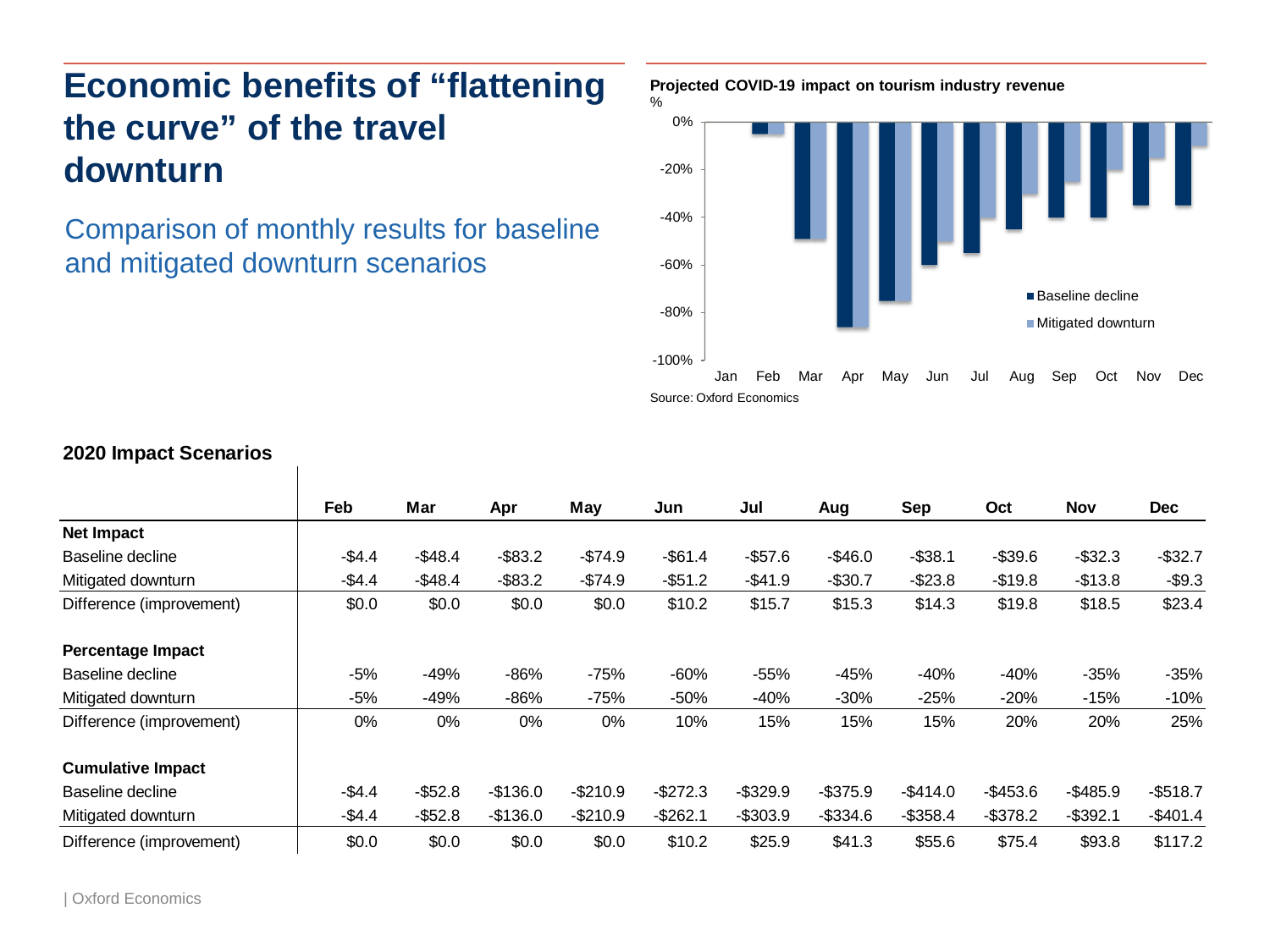# **Economic benefits of "flattening the curve" of the travel downturn**

Comparison of monthly results for baseline and mitigated downturn scenarios



|                          | Feb     | Mar        | Apr        | May       | Jun        | Jul         | Aug         | Sep         | Oct         | <b>Nov</b>  | <b>Dec</b> |
|--------------------------|---------|------------|------------|-----------|------------|-------------|-------------|-------------|-------------|-------------|------------|
| Net Impact               |         |            |            |           |            |             |             |             |             |             |            |
| Baseline decline         | $-$4.4$ | $-$48.4$   | $-$ \$83.2 | $-$74.9$  | $-$ \$61.4 | $-$57.6$    | $-$46.0$    | $-$ \$38.1  | $-$39.6$    | $-$ \$32.3  | $-$ \$32.7 |
| Mitigated downturn       | $-$4.4$ | $-$48.4$   | $-$ \$83.2 | $-$74.9$  | $-$ \$51.2 | $-$41.9$    | $-$30.7$    | $-$23.8$    | $-$19.8$    | $-$13.8$    | $-$9.3$    |
| Difference (improvement) | \$0.0   | \$0.0      | \$0.0      | \$0.0     | \$10.2     | \$15.7      | \$15.3      | \$14.3      | \$19.8      | \$18.5      | \$23.4     |
| <b>Percentage Impact</b> |         |            |            |           |            |             |             |             |             |             |            |
| Baseline decline         | $-5%$   | $-49%$     | $-86%$     | -75%      | $-60%$     | $-55%$      | $-45%$      | $-40%$      | $-40%$      | $-35%$      | $-35%$     |
| Mitigated downturn       | $-5%$   | -49%       | $-86%$     | -75%      | -50%       | $-40%$      | $-30%$      | $-25%$      | $-20%$      | $-15%$      | $-10%$     |
| Difference (improvement) | 0%      | 0%         | 0%         | $0\%$     | 10%        | 15%         | 15%         | 15%         | 20%         | 20%         | 25%        |
| <b>Cumulative Impact</b> |         |            |            |           |            |             |             |             |             |             |            |
| Baseline decline         | $-$4.4$ | $-$52.8$   | $-$136.0$  | $-$210.9$ | $-$272.3$  | $-$ \$329.9 | $-$ \$375.9 | $-$414.0$   | $-$ \$453.6 | $-$485.9$   | $-$518.7$  |
| Mitigated downturn       | $-$4.4$ | $-$ \$52.8 | $-$136.0$  | $-$210.9$ | $-$262.1$  | $-$ \$303.9 | $-$ \$334.6 | $-$ \$358.4 | $-$ \$378.2 | $-$ \$392.1 | $-$401.4$  |
| Difference (improvement) | \$0.0   | \$0.0      | \$0.0      | \$0.0     | \$10.2     | \$25.9      | \$41.3      | \$55.6      | \$75.4      | \$93.8      | \$117.2    |

### **2020 Impact Scenarios**